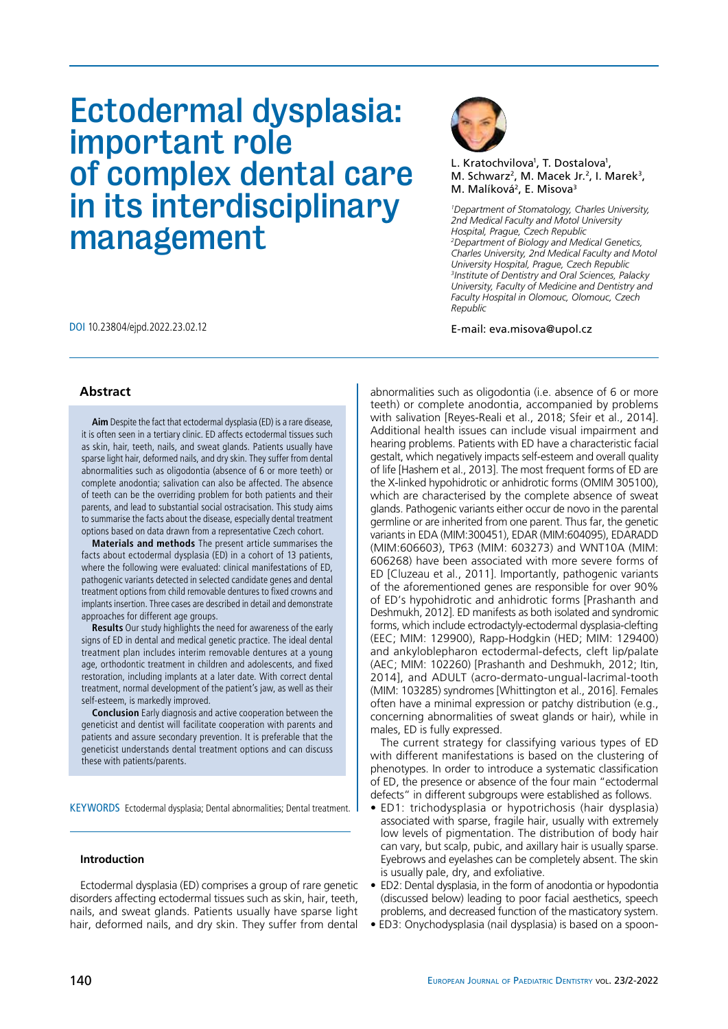# Ectodermal dysplasia: important role of complex dental care in its interdisciplinary management

DOI 10.23804/ejpd.2022.23.02.12 E-mail: eva.misova@upol.cz



L. Kratochvilova<sup>1</sup>, T. Dostalova<sup>1</sup>, M. Schwarz<sup>2</sup>, M. Macek Jr.<sup>2</sup>, I. Marek<sup>3</sup>, M. Malíková<sup>2</sup>, E. Misova<sup>3</sup>

*1 Department of Stomatology, Charles University, 2nd Medical Faculty and Motol University Hospital, Prague, Czech Republic 2 Department of Biology and Medical Genetics, Charles University, 2nd Medical Faculty and Motol University Hospital, Prague, Czech Republic 3 Institute of Dentistry and Oral Sciences, Palacky University, Faculty of Medicine and Dentistry and Faculty Hospital in Olomouc, Olomouc, Czech Republic*

## **Abstract**

**Aim** Despite the fact that ectodermal dysplasia (ED) is a rare disease, it is often seen in a tertiary clinic. ED affects ectodermal tissues such as skin, hair, teeth, nails, and sweat glands. Patients usually have sparse light hair, deformed nails, and dry skin. They suffer from dental abnormalities such as oligodontia (absence of 6 or more teeth) or complete anodontia; salivation can also be affected. The absence of teeth can be the overriding problem for both patients and their parents, and lead to substantial social ostracisation. This study aims to summarise the facts about the disease, especially dental treatment options based on data drawn from a representative Czech cohort.

**Materials and methods** The present article summarises the facts about ectodermal dysplasia (ED) in a cohort of 13 patients, where the following were evaluated: clinical manifestations of ED, pathogenic variants detected in selected candidate genes and dental treatment options from child removable dentures to fixed crowns and implants insertion. Three cases are described in detail and demonstrate approaches for different age groups.

**Results** Our study highlights the need for awareness of the early signs of ED in dental and medical genetic practice. The ideal dental treatment plan includes interim removable dentures at a young age, orthodontic treatment in children and adolescents, and fixed restoration, including implants at a later date. With correct dental treatment, normal development of the patient's jaw, as well as their self-esteem, is markedly improved.

**Conclusion** Early diagnosis and active cooperation between the geneticist and dentist will facilitate cooperation with parents and patients and assure secondary prevention. It is preferable that the geneticist understands dental treatment options and can discuss these with patients/parents.

KEYWORDS Ectodermal dysplasia; Dental abnormalities; Dental treatment.

## **Introduction**

Ectodermal dysplasia (ED) comprises a group of rare genetic disorders affecting ectodermal tissues such as skin, hair, teeth, nails, and sweat glands. Patients usually have sparse light hair, deformed nails, and dry skin. They suffer from dental abnormalities such as oligodontia (i.e. absence of 6 or more teeth) or complete anodontia, accompanied by problems with salivation [Reyes-Reali et al., 2018; Sfeir et al., 2014]. Additional health issues can include visual impairment and hearing problems. Patients with ED have a characteristic facial gestalt, which negatively impacts self-esteem and overall quality of life [Hashem et al., 2013]. The most frequent forms of ED are the X-linked hypohidrotic or anhidrotic forms (OMIM 305100), which are characterised by the complete absence of sweat glands. Pathogenic variants either occur de novo in the parental germline or are inherited from one parent. Thus far, the genetic variants in EDA (MIM:300451), EDAR (MIM:604095), EDARADD (MIM:606603), TP63 (MIM: 603273) and WNT10A (MIM: 606268) have been associated with more severe forms of ED [Cluzeau et al., 2011]. Importantly, pathogenic variants of the aforementioned genes are responsible for over 90% of ED's hypohidrotic and anhidrotic forms [Prashanth and Deshmukh, 2012]. ED manifests as both isolated and syndromic forms, which include ectrodactyly-ectodermal dysplasia-clefting (EEC; MIM: 129900), Rapp-Hodgkin (HED; MIM: 129400) and ankyloblepharon ectodermal-defects, cleft lip/palate (AEC; MIM: 102260) [Prashanth and Deshmukh, 2012; Itin, 2014], and ADULT (acro-dermato-ungual-lacrimal-tooth (MIM: 103285) syndromes [Whittington et al., 2016]. Females often have a minimal expression or patchy distribution (e.g., concerning abnormalities of sweat glands or hair), while in males, ED is fully expressed.

The current strategy for classifying various types of ED with different manifestations is based on the clustering of phenotypes. In order to introduce a systematic classification of ED, the presence or absence of the four main "ectodermal defects" in different subgroups were established as follows.

- ED1: trichodysplasia or hypotrichosis (hair dysplasia) associated with sparse, fragile hair, usually with extremely low levels of pigmentation. The distribution of body hair can vary, but scalp, pubic, and axillary hair is usually sparse. Eyebrows and eyelashes can be completely absent. The skin is usually pale, dry, and exfoliative.
- ED2: Dental dysplasia, in the form of anodontia or hypodontia (discussed below) leading to poor facial aesthetics, speech problems, and decreased function of the masticatory system.
- ED3: Onychodysplasia (nail dysplasia) is based on a spoon-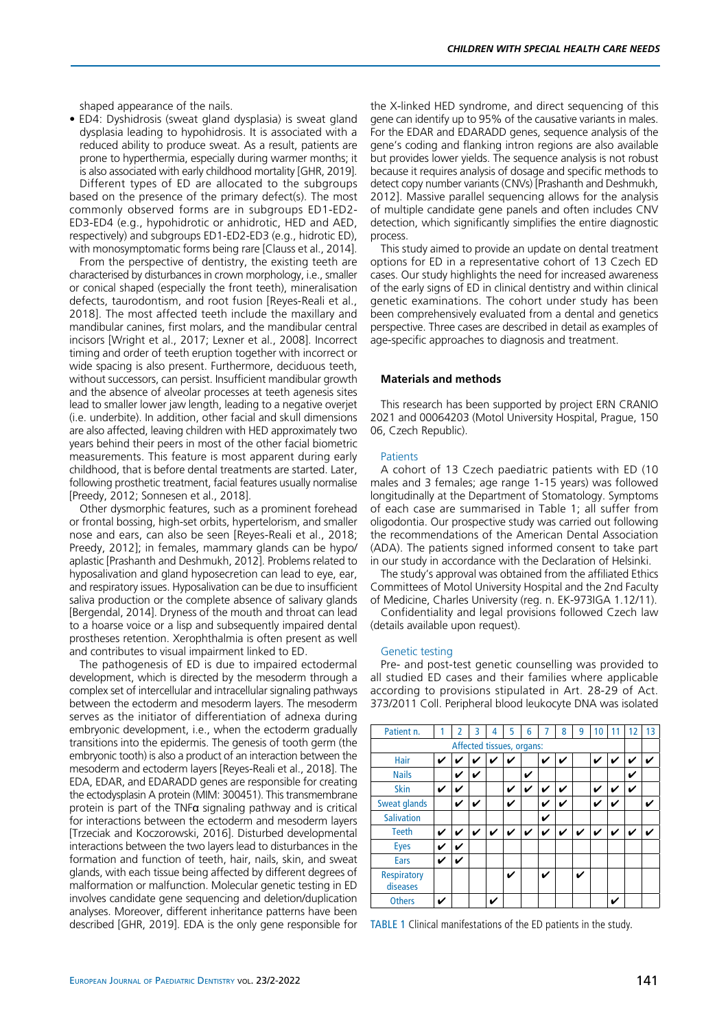• ED4: Dyshidrosis (sweat gland dysplasia) is sweat gland dysplasia leading to hypohidrosis. It is associated with a reduced ability to produce sweat. As a result, patients are prone to hyperthermia, especially during warmer months; it is also associated with early childhood mortality [GHR, 2019]. Different types of ED are allocated to the subgroups based on the presence of the primary defect(s). The most

commonly observed forms are in subgroups ED1-ED2- ED3-ED4 (e.g., hypohidrotic or anhidrotic, HED and AED, respectively) and subgroups ED1-ED2-ED3 (e.g., hidrotic ED), with monosymptomatic forms being rare [Clauss et al., 2014].

From the perspective of dentistry, the existing teeth are characterised by disturbances in crown morphology, i.e., smaller or conical shaped (especially the front teeth), mineralisation defects, taurodontism, and root fusion [Reyes-Reali et al., 2018]. The most affected teeth include the maxillary and mandibular canines, first molars, and the mandibular central incisors [Wright et al., 2017; Lexner et al., 2008]. Incorrect timing and order of teeth eruption together with incorrect or wide spacing is also present. Furthermore, deciduous teeth, without successors, can persist. Insufficient mandibular growth and the absence of alveolar processes at teeth agenesis sites lead to smaller lower jaw length, leading to a negative overjet (i.e. underbite). In addition, other facial and skull dimensions are also affected, leaving children with HED approximately two years behind their peers in most of the other facial biometric measurements. This feature is most apparent during early childhood, that is before dental treatments are started. Later, following prosthetic treatment, facial features usually normalise [Preedy, 2012; Sonnesen et al., 2018].

Other dysmorphic features, such as a prominent forehead or frontal bossing, high-set orbits, hypertelorism, and smaller nose and ears, can also be seen [Reyes-Reali et al., 2018; Preedy, 2012]; in females, mammary glands can be hypo/ aplastic [Prashanth and Deshmukh, 2012]. Problems related to hyposalivation and gland hyposecretion can lead to eye, ear, and respiratory issues. Hyposalivation can be due to insufficient saliva production or the complete absence of salivary glands [Bergendal, 2014]. Dryness of the mouth and throat can lead to a hoarse voice or a lisp and subsequently impaired dental prostheses retention. Xerophthalmia is often present as well and contributes to visual impairment linked to ED.

The pathogenesis of ED is due to impaired ectodermal development, which is directed by the mesoderm through a complex set of intercellular and intracellular signaling pathways between the ectoderm and mesoderm layers. The mesoderm serves as the initiator of differentiation of adnexa during embryonic development, i.e., when the ectoderm gradually transitions into the epidermis. The genesis of tooth germ (the embryonic tooth) is also a product of an interaction between the mesoderm and ectoderm layers [Reyes-Reali et al., 2018]. The EDA, EDAR, and EDARADD genes are responsible for creating the ectodysplasin A protein (MIM: 300451). This transmembrane protein is part of the TNF $\alpha$  signaling pathway and is critical for interactions between the ectoderm and mesoderm layers [Trzeciak and Koczorowski, 2016]. Disturbed developmental interactions between the two layers lead to disturbances in the formation and function of teeth, hair, nails, skin, and sweat glands, with each tissue being affected by different degrees of malformation or malfunction. Molecular genetic testing in ED involves candidate gene sequencing and deletion/duplication analyses. Moreover, different inheritance patterns have been described [GHR, 2019]. EDA is the only gene responsible for

the X-linked HED syndrome, and direct sequencing of this gene can identify up to 95% of the causative variants in males. For the EDAR and EDARADD genes, sequence analysis of the gene's coding and flanking intron regions are also available but provides lower yields. The sequence analysis is not robust because it requires analysis of dosage and specific methods to detect copy number variants (CNVs) [Prashanth and Deshmukh, 2012]. Massive parallel sequencing allows for the analysis of multiple candidate gene panels and often includes CNV detection, which significantly simplifies the entire diagnostic process.

This study aimed to provide an update on dental treatment options for ED in a representative cohort of 13 Czech ED cases. Our study highlights the need for increased awareness of the early signs of ED in clinical dentistry and within clinical genetic examinations. The cohort under study has been been comprehensively evaluated from a dental and genetics perspective. Three cases are described in detail as examples of age-specific approaches to diagnosis and treatment.

## **Materials and methods**

This research has been supported by project ERN CRANIO 2021 and 00064203 (Motol University Hospital, Prague, 150 06, Czech Republic).

#### **Patients**

A cohort of 13 Czech paediatric patients with ED (10 males and 3 females; age range 1-15 years) was followed longitudinally at the Department of Stomatology. Symptoms of each case are summarised in Table 1; all suffer from oligodontia. Our prospective study was carried out following the recommendations of the American Dental Association (ADA). The patients signed informed consent to take part in our study in accordance with the Declaration of Helsinki.

The study's approval was obtained from the affiliated Ethics Committees of Motol University Hospital and the 2nd Faculty of Medicine, Charles University (reg. n. EK-973IGA 1.12/11).

Confidentiality and legal provisions followed Czech law (details available upon request).

#### Genetic testing

Pre- and post-test genetic counselling was provided to all studied ED cases and their families where applicable according to provisions stipulated in Art. 28-29 of Act. 373/2011 Coll. Peripheral blood leukocyte DNA was isolated

| Patient n.                     | 1 | 2 | 3            | 4           | 5 | 6            |   | 8            | 9           | 10 |                            | 12           | 13 |
|--------------------------------|---|---|--------------|-------------|---|--------------|---|--------------|-------------|----|----------------------------|--------------|----|
| Affected tissues, organs:      |   |   |              |             |   |              |   |              |             |    |                            |              |    |
| Hair                           | V |   |              |             | V |              |   | V            |             | V  | ✔                          | V            | V  |
| <b>Nails</b>                   |   | V | $\checkmark$ |             |   | V            |   |              |             |    |                            | V            |    |
| <b>Skin</b>                    | V | V |              |             | V | V            |   | V            |             | V  | ✔                          | $\checkmark$ |    |
| <b>Sweat glands</b>            |   | V | ✓            |             | ✓ |              | V | ✓            |             | V  | ✔                          |              | V  |
| <b>Salivation</b>              |   |   |              |             |   |              | ✓ |              |             |    |                            |              |    |
| <b>Teeth</b>                   | V | ✓ | ✓            | $\mathbf v$ | ✓ | $\mathbf{v}$ | V | $\checkmark$ | $\mathbf v$ | ✓  | $\boldsymbol{\mathcal{U}}$ | $\checkmark$ | ✓  |
| <b>Eyes</b>                    | V | V |              |             |   |              |   |              |             |    |                            |              |    |
| Ears                           | V | V |              |             |   |              |   |              |             |    |                            |              |    |
| <b>Respiratory</b><br>diseases |   |   |              |             | ✓ |              | ✓ |              | V           |    |                            |              |    |
| <b>Others</b>                  | ✔ |   |              | ✓           |   |              |   |              |             |    | v                          |              |    |

TABLE 1 Clinical manifestations of the ED patients in the study.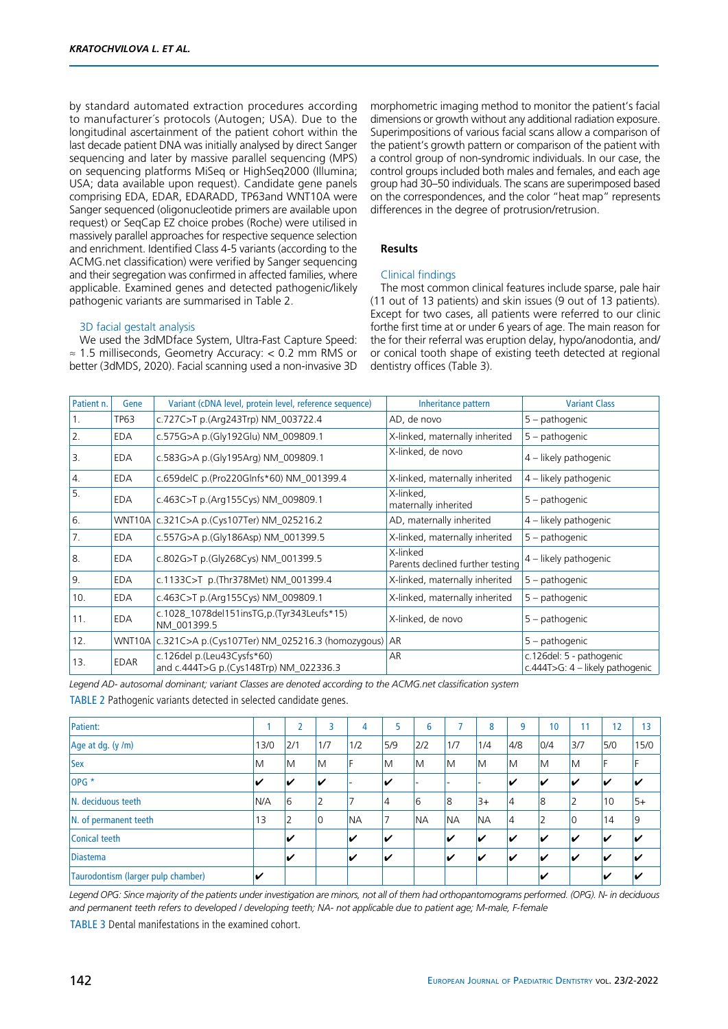by standard automated extraction procedures according to manufacturer´s protocols (Autogen; USA). Due to the longitudinal ascertainment of the patient cohort within the last decade patient DNA was initially analysed by direct Sanger sequencing and later by massive parallel sequencing (MPS) on sequencing platforms MiSeq or HighSeq2000 (Illumina; USA; data available upon request). Candidate gene panels comprising EDA, EDAR, EDARADD, TP63and WNT10A were Sanger sequenced (oligonucleotide primers are available upon request) or SeqCap EZ choice probes (Roche) were utilised in massively parallel approaches for respective sequence selection and enrichment. Identified Class 4-5 variants (according to the ACMG.net classification) were verified by Sanger sequencing and their segregation was confirmed in affected families, where applicable. Examined genes and detected pathogenic/likely pathogenic variants are summarised in Table 2.

## 3D facial gestalt analysis

We used the 3dMDface System, Ultra-Fast Capture Speed: ≈ 1.5 milliseconds, Geometry Accuracy: < 0.2 mm RMS or better (3dMDS, 2020). Facial scanning used a non-invasive 3D morphometric imaging method to monitor the patient's facial dimensions or growth without any additional radiation exposure. Superimpositions of various facial scans allow a comparison of the patient's growth pattern or comparison of the patient with a control group of non-syndromic individuals. In our case, the control groups included both males and females, and each age group had 30–50 individuals. The scans are superimposed based on the correspondences, and the color "heat map" represents differences in the degree of protrusion/retrusion.

## **Results**

## Clinical findings

The most common clinical features include sparse, pale hair (11 out of 13 patients) and skin issues (9 out of 13 patients). Except for two cases, all patients were referred to our clinic forthe first time at or under 6 years of age. The main reason for the for their referral was eruption delay, hypo/anodontia, and/ or conical tooth shape of existing teeth detected at regional dentistry offices (Table 3).

| Patient n. | Gene        | Variant (cDNA level, protein level, reference sequence)              | Inheritance pattern                          | <b>Variant Class</b>                                        |
|------------|-------------|----------------------------------------------------------------------|----------------------------------------------|-------------------------------------------------------------|
| 1.         | TP63        | c.727C>T p.(Arg243Trp) NM_003722.4                                   | AD, de novo                                  | 5 - pathogenic                                              |
| 2.         | EDA         | c.575G>A p.(Gly192Glu) NM_009809.1                                   | X-linked, maternally inherited               | 5 – pathogenic                                              |
| 3.         | EDA         | c.583G>A p.(Gly195Arg) NM_009809.1                                   | X-linked, de novo                            | 4 – likely pathogenic                                       |
| 4.         | <b>EDA</b>  | c.659delC p.(Pro220Glnfs*60) NM_001399.4                             | X-linked, maternally inherited               | 4 – likely pathogenic                                       |
| 5.         | <b>EDA</b>  | c.463C>T p.(Arg155Cys) NM_009809.1                                   | X-linked,<br>maternally inherited            | 5 – pathogenic                                              |
| 6.         |             | WNT10A   c.321C>A p.(Cys107Ter) NM_025216.2                          | AD, maternally inherited                     | 4 - likely pathogenic                                       |
| 7.         | <b>EDA</b>  | c.557G>A p.(Gly186Asp) NM_001399.5                                   | X-linked, maternally inherited               | 5 - pathogenic                                              |
| 8.         | EDA         | c.802G>T p.(Gly268Cys) NM_001399.5                                   | X-linked<br>Parents declined further testing | 4 – likely pathogenic                                       |
| 9.         | EDA         | c.1133C>T p.(Thr378Met) NM_001399.4                                  | X-linked, maternally inherited               | 5 – pathogenic                                              |
| 10.        | EDA         | c.463C>T p.(Arg155Cys) NM_009809.1                                   | X-linked, maternally inherited               | 5 - pathogenic                                              |
| 11.        | <b>EDA</b>  | c.1028_1078del151insTG,p.(Tyr343Leufs*15)<br>NM 001399.5             | X-linked, de novo                            | 5 – pathogenic                                              |
| 12.        |             | WNT10A   c.321C>A p.(Cys107Ter) NM_025216.3 (homozygous)             | AR                                           | 5 – pathogenic                                              |
| 13.        | <b>EDAR</b> | c.126del p.(Leu43Cysfs*60)<br>and c.444T>G p.(Cys148Trp) NM_022336.3 | AR                                           | c.126del: 5 - pathogenic<br>c.444T>G: 4 – likely pathogenic |

*Legend AD- autosomal dominant; variant Classes are denoted according to the ACMG.net classification system*

TABLE 2 Pathogenic variants detected in selected candidate genes.

| Patient:                           |      | 2   | 3              | 4         | 5              | 6         | ∍         | 8                        | 9                       | 10                      | 11  | 12  | 13   |
|------------------------------------|------|-----|----------------|-----------|----------------|-----------|-----------|--------------------------|-------------------------|-------------------------|-----|-----|------|
| Age at dg. $(y/m)$                 | 13/0 | 2/1 | 1/7            | 1/2       | 5/9            | 2/2       | 1/7       | 1/4                      | 4/8                     | 0/4                     | 3/7 | 5/0 | 15/0 |
| <b>Sex</b><br>M                    |      | ١M  | ΙM             | IF        | M              | M         | M         | ΙM                       | M                       | M                       | M   | F   |      |
| $OPG*$                             | V    | V   | v              |           | V              | -         |           | $\overline{\phantom{a}}$ | V                       | V                       | V   | V   |      |
| N. deciduous teeth                 |      | 6   | $\overline{2}$ |           | $\overline{4}$ | 6         | 8         | $3+$                     | $\overline{4}$          | 8                       | 2   | 10  | $5+$ |
| N. of permanent teeth              |      | 2   | ١O             | <b>NA</b> | 7              | <b>NA</b> | <b>NA</b> | <b>NA</b>                | $\overline{4}$          | $\overline{2}$          | 0   | 14  | 9    |
| Conical teeth                      |      | ✓   |                | V         | V              |           | V         | V                        | V                       | v                       | V   | V   |      |
| Diastema                           |      | V   |                | V         | V              |           | v         | v                        | $\overline{\mathbf{v}}$ | $\overline{\mathbf{v}}$ | v   | V   |      |
| Taurodontism (larger pulp chamber) |      |     |                |           |                |           |           |                          |                         | v                       |     | V   |      |

*Legend OPG: Since majority of the patients under investigation are minors, not all of them had orthopantomograms performed. (OPG). N- in deciduous and permanent teeth refers to developed / developing teeth; NA- not applicable due to patient age; M-male, F-female*

TABLE 3 Dental manifestations in the examined cohort.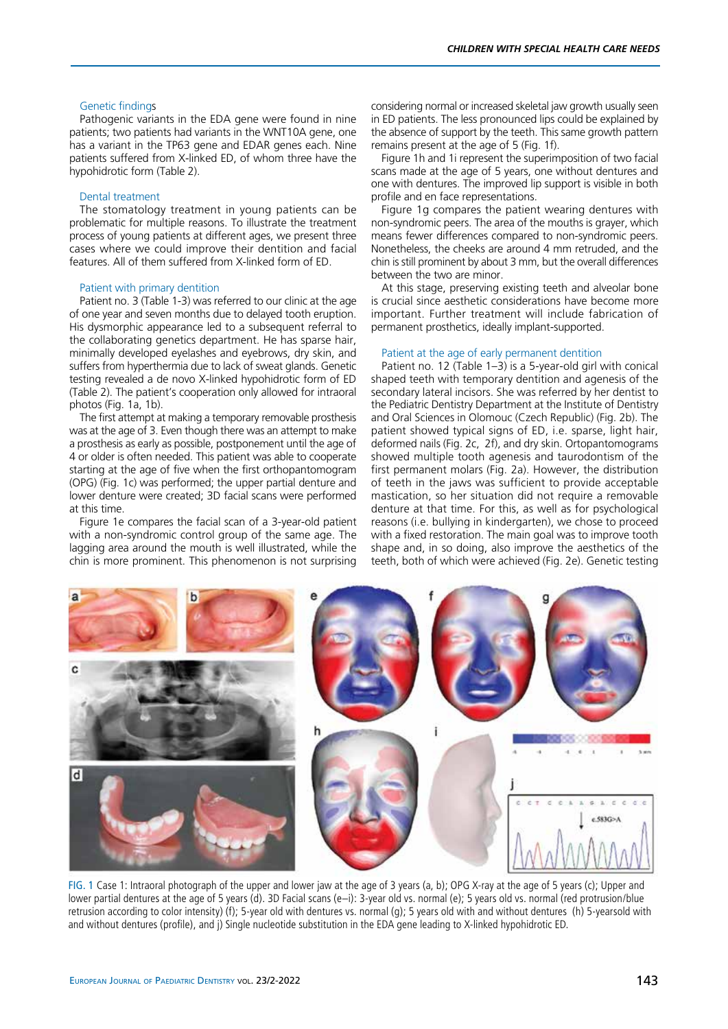## Genetic findings

Pathogenic variants in the EDA gene were found in nine patients; two patients had variants in the WNT10A gene, one has a variant in the TP63 gene and EDAR genes each. Nine patients suffered from X-linked ED, of whom three have the hypohidrotic form (Table 2).

#### Dental treatment

The stomatology treatment in young patients can be problematic for multiple reasons. To illustrate the treatment process of young patients at different ages, we present three cases where we could improve their dentition and facial features. All of them suffered from X-linked form of ED.

#### Patient with primary dentition

Patient no. 3 (Table 1-3) was referred to our clinic at the age of one year and seven months due to delayed tooth eruption. His dysmorphic appearance led to a subsequent referral to the collaborating genetics department. He has sparse hair, minimally developed eyelashes and eyebrows, dry skin, and suffers from hyperthermia due to lack of sweat glands. Genetic testing revealed a de novo X-linked hypohidrotic form of ED (Table 2). The patient's cooperation only allowed for intraoral photos (Fig. 1a, 1b).

The first attempt at making a temporary removable prosthesis was at the age of 3. Even though there was an attempt to make a prosthesis as early as possible, postponement until the age of 4 or older is often needed. This patient was able to cooperate starting at the age of five when the first orthopantomogram (OPG) (Fig. 1c) was performed; the upper partial denture and lower denture were created; 3D facial scans were performed at this time.

Figure 1e compares the facial scan of a 3-year-old patient with a non-syndromic control group of the same age. The lagging area around the mouth is well illustrated, while the chin is more prominent. This phenomenon is not surprising

considering normal or increased skeletal jaw growth usually seen in ED patients. The less pronounced lips could be explained by the absence of support by the teeth. This same growth pattern remains present at the age of 5 (Fig. 1f).

Figure 1h and 1i represent the superimposition of two facial scans made at the age of 5 years, one without dentures and one with dentures. The improved lip support is visible in both profile and en face representations.

Figure 1g compares the patient wearing dentures with non-syndromic peers. The area of the mouths is grayer, which means fewer differences compared to non-syndromic peers. Nonetheless, the cheeks are around 4 mm retruded, and the chin is still prominent by about 3 mm, but the overall differences between the two are minor.

At this stage, preserving existing teeth and alveolar bone is crucial since aesthetic considerations have become more important. Further treatment will include fabrication of permanent prosthetics, ideally implant-supported.

## Patient at the age of early permanent dentition

Patient no. 12 (Table 1–3) is a 5-year-old girl with conical shaped teeth with temporary dentition and agenesis of the secondary lateral incisors. She was referred by her dentist to the Pediatric Dentistry Department at the Institute of Dentistry and Oral Sciences in Olomouc (Czech Republic) (Fig. 2b). The patient showed typical signs of ED, i.e. sparse, light hair, deformed nails (Fig. 2c, 2f), and dry skin. Ortopantomograms showed multiple tooth agenesis and taurodontism of the first permanent molars (Fig. 2a). However, the distribution of teeth in the jaws was sufficient to provide acceptable mastication, so her situation did not require a removable denture at that time. For this, as well as for psychological reasons (i.e. bullying in kindergarten), we chose to proceed with a fixed restoration. The main goal was to improve tooth shape and, in so doing, also improve the aesthetics of the teeth, both of which were achieved (Fig. 2e). Genetic testing



FIG. 1 Case 1: Intraoral photograph of the upper and lower jaw at the age of 3 years (a, b); OPG X-ray at the age of 5 years (c); Upper and lower partial dentures at the age of 5 years (d). 3D Facial scans (e–i): 3-year old vs. normal (e); 5 years old vs. normal (red protrusion/blue retrusion according to color intensity) (f); 5-year old with dentures vs. normal (g); 5 years old with and without dentures (h) 5-yearsold with and without dentures (profile), and j) Single nucleotide substitution in the EDA gene leading to X-linked hypohidrotic ED.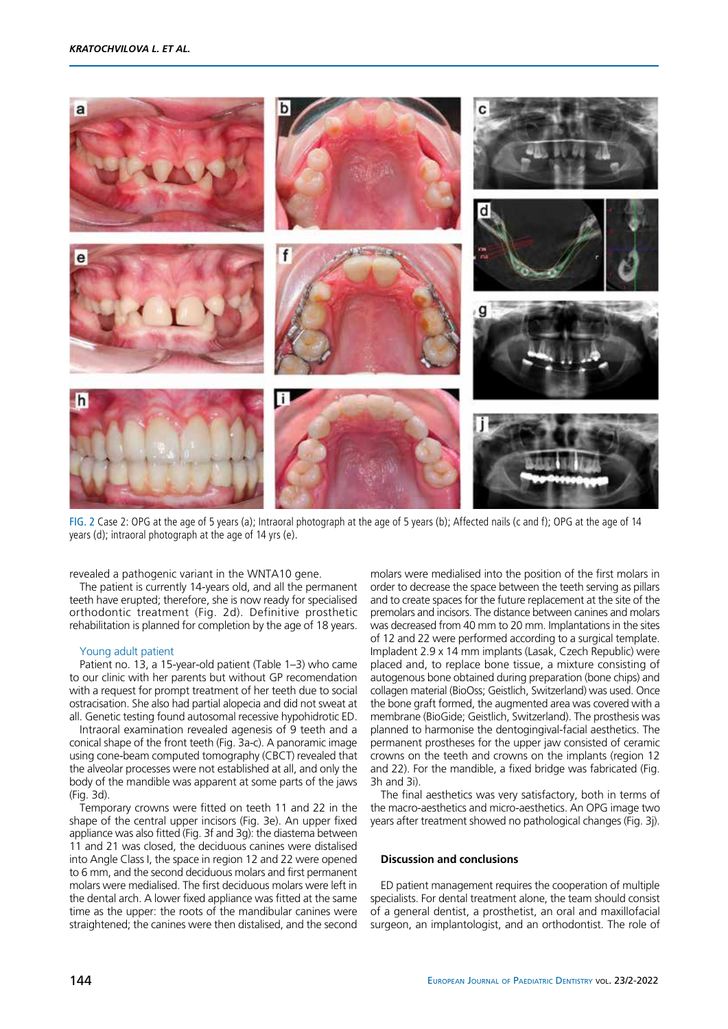

FIG. 2 Case 2: OPG at the age of 5 years (a); Intraoral photograph at the age of 5 years (b); Affected nails (c and f); OPG at the age of 14 years (d); intraoral photograph at the age of 14 yrs (e).

revealed a pathogenic variant in the WNTA10 gene.

The patient is currently 14-years old, and all the permanent teeth have erupted; therefore, she is now ready for specialised orthodontic treatment (Fig. 2d). Definitive prosthetic rehabilitation is planned for completion by the age of 18 years.

## Young adult patient

Patient no. 13, a 15-year-old patient (Table 1–3) who came to our clinic with her parents but without GP recomendation with a request for prompt treatment of her teeth due to social ostracisation. She also had partial alopecia and did not sweat at all. Genetic testing found autosomal recessive hypohidrotic ED.

Intraoral examination revealed agenesis of 9 teeth and a conical shape of the front teeth (Fig. 3a-c). A panoramic image using cone-beam computed tomography (CBCT) revealed that the alveolar processes were not established at all, and only the body of the mandible was apparent at some parts of the jaws (Fig. 3d).

Temporary crowns were fitted on teeth 11 and 22 in the shape of the central upper incisors (Fig. 3e). An upper fixed appliance was also fitted (Fig. 3f and 3g): the diastema between 11 and 21 was closed, the deciduous canines were distalised into Angle Class I, the space in region 12 and 22 were opened to 6 mm, and the second deciduous molars and first permanent molars were medialised. The first deciduous molars were left in the dental arch. A lower fixed appliance was fitted at the same time as the upper: the roots of the mandibular canines were straightened; the canines were then distalised, and the second

molars were medialised into the position of the first molars in order to decrease the space between the teeth serving as pillars and to create spaces for the future replacement at the site of the premolars and incisors. The distance between canines and molars was decreased from 40 mm to 20 mm. Implantations in the sites of 12 and 22 were performed according to a surgical template. Impladent 2.9 x 14 mm implants (Lasak, Czech Republic) were placed and, to replace bone tissue, a mixture consisting of autogenous bone obtained during preparation (bone chips) and collagen material (BioOss; Geistlich, Switzerland) was used. Once the bone graft formed, the augmented area was covered with a membrane (BioGide; Geistlich, Switzerland). The prosthesis was planned to harmonise the dentogingival-facial aesthetics. The permanent prostheses for the upper jaw consisted of ceramic crowns on the teeth and crowns on the implants (region 12 and 22). For the mandible, a fixed bridge was fabricated (Fig. 3h and 3i).

The final aesthetics was very satisfactory, both in terms of the macro-aesthetics and micro-aesthetics. An OPG image two years after treatment showed no pathological changes (Fig. 3j).

#### **Discussion and conclusions**

ED patient management requires the cooperation of multiple specialists. For dental treatment alone, the team should consist of a general dentist, a prosthetist, an oral and maxillofacial surgeon, an implantologist, and an orthodontist. The role of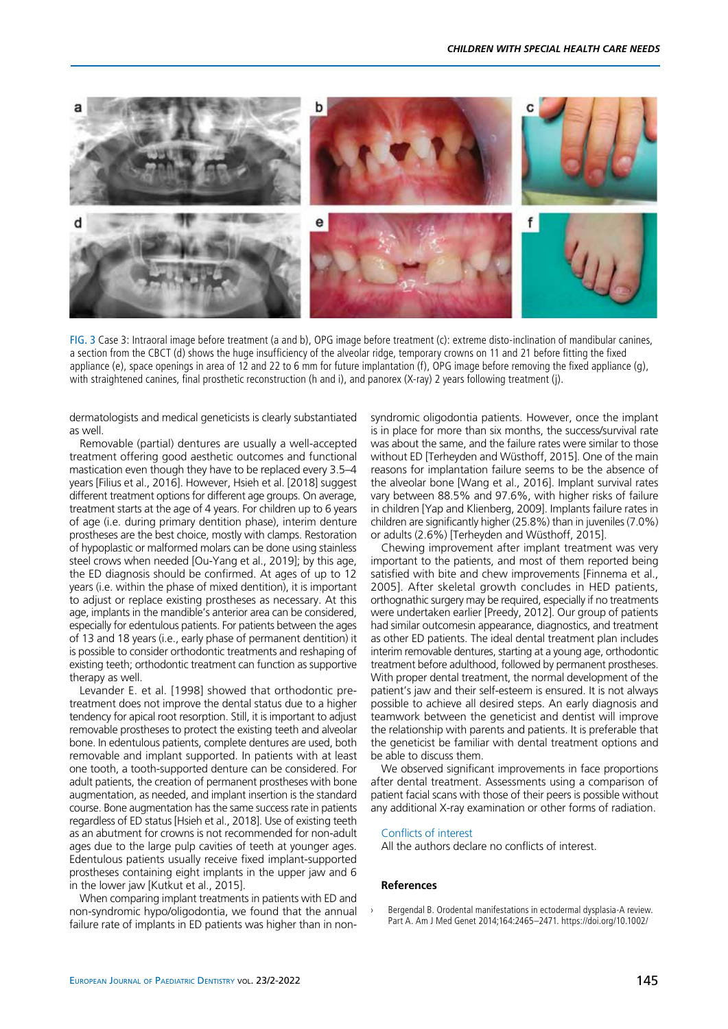

FIG. 3 Case 3: Intraoral image before treatment (a and b), OPG image before treatment (c): extreme disto-inclination of mandibular canines, a section from the CBCT (d) shows the huge insufficiency of the alveolar ridge, temporary crowns on 11 and 21 before fitting the fixed appliance (e), space openings in area of 12 and 22 to 6 mm for future implantation (f), OPG image before removing the fixed appliance (g), with straightened canines, final prosthetic reconstruction (h and i), and panorex (X-ray) 2 years following treatment (j).

dermatologists and medical geneticists is clearly substantiated as well.

Removable (partial) dentures are usually a well-accepted treatment offering good aesthetic outcomes and functional mastication even though they have to be replaced every 3.5–4 years [Filius et al., 2016]. However, Hsieh et al. [2018] suggest different treatment options for different age groups. On average, treatment starts at the age of 4 years. For children up to 6 years of age (i.e. during primary dentition phase), interim denture prostheses are the best choice, mostly with clamps. Restoration of hypoplastic or malformed molars can be done using stainless steel crows when needed [Ou-Yang et al., 2019]; by this age, the ED diagnosis should be confirmed. At ages of up to 12 years (i.e. within the phase of mixed dentition), it is important to adjust or replace existing prostheses as necessary. At this age, implants in the mandible's anterior area can be considered, especially for edentulous patients. For patients between the ages of 13 and 18 years (i.e., early phase of permanent dentition) it is possible to consider orthodontic treatments and reshaping of existing teeth; orthodontic treatment can function as supportive therapy as well.

Levander E. et al. [1998] showed that orthodontic pretreatment does not improve the dental status due to a higher tendency for apical root resorption. Still, it is important to adjust removable prostheses to protect the existing teeth and alveolar bone. In edentulous patients, complete dentures are used, both removable and implant supported. In patients with at least one tooth, a tooth-supported denture can be considered. For adult patients, the creation of permanent prostheses with bone augmentation, as needed, and implant insertion is the standard course. Bone augmentation has the same success rate in patients regardless of ED status [Hsieh et al., 2018]. Use of existing teeth as an abutment for crowns is not recommended for non-adult ages due to the large pulp cavities of teeth at younger ages. Edentulous patients usually receive fixed implant-supported prostheses containing eight implants in the upper jaw and 6 in the lower jaw [Kutkut et al., 2015].

When comparing implant treatments in patients with ED and non-syndromic hypo/oligodontia, we found that the annual failure rate of implants in ED patients was higher than in nonsyndromic oligodontia patients. However, once the implant is in place for more than six months, the success/survival rate was about the same, and the failure rates were similar to those without ED [Terheyden and Wüsthoff, 2015]. One of the main reasons for implantation failure seems to be the absence of the alveolar bone [Wang et al., 2016]. Implant survival rates vary between 88.5% and 97.6%, with higher risks of failure in children [Yap and Klienberg, 2009]. Implants failure rates in children are significantly higher (25.8%) than in juveniles (7.0%) or adults (2.6%) [Terheyden and Wüsthoff, 2015].

Chewing improvement after implant treatment was very important to the patients, and most of them reported being satisfied with bite and chew improvements [Finnema et al., 2005]. After skeletal growth concludes in HED patients, orthognathic surgery may be required, especially if no treatments were undertaken earlier [Preedy, 2012]. Our group of patients had similar outcomesin appearance, diagnostics, and treatment as other ED patients. The ideal dental treatment plan includes interim removable dentures, starting at a young age, orthodontic treatment before adulthood, followed by permanent prostheses. With proper dental treatment, the normal development of the patient's jaw and their self-esteem is ensured. It is not always possible to achieve all desired steps. An early diagnosis and teamwork between the geneticist and dentist will improve the relationship with parents and patients. It is preferable that the geneticist be familiar with dental treatment options and be able to discuss them.

We observed significant improvements in face proportions after dental treatment. Assessments using a comparison of patient facial scans with those of their peers is possible without any additional X-ray examination or other forms of radiation.

## Conflicts of interest

All the authors declare no conflicts of interest.

## **References**

Bergendal B. Orodental manifestations in ectodermal dysplasia-A review. Part A. Am J Med Genet 2014;164:2465–2471. https://doi.org/10.1002/